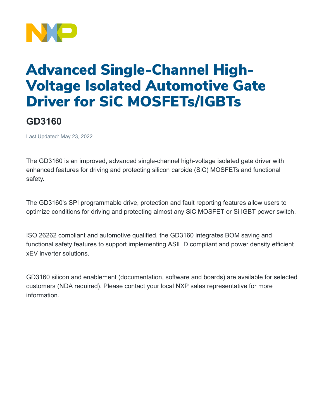

## Advanced Single-Channel High-Voltage Isolated Automotive Gate Driver for SiC MOSFETs/IGBTs

## **GD3160**

Last Updated: May 23, 2022

The GD3160 is an improved, advanced single-channel high-voltage isolated gate driver with enhanced features for driving and protecting silicon carbide (SiC) MOSFETs and functional safety.

The GD3160's SPI programmable drive, protection and fault reporting features allow users to optimize conditions for driving and protecting almost any SiC MOSFET or Si IGBT power switch.

ISO 26262 compliant and automotive qualified, the GD3160 integrates BOM saving and functional safety features to support implementing ASIL D compliant and power density efficient xEV inverter solutions.

GD3160 silicon and enablement (documentation, software and boards) are available for selected customers (NDA required). Please contact your local NXP sales representative for more information.